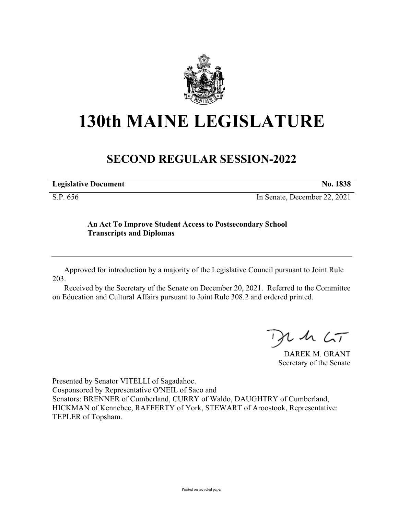

## **130th MAINE LEGISLATURE**

## **SECOND REGULAR SESSION-2022**

| <b>Legislative Document</b> | No. 1838 |
|-----------------------------|----------|
|                             |          |

S.P. 656 In Senate, December 22, 2021

## **An Act To Improve Student Access to Postsecondary School Transcripts and Diplomas**

Approved for introduction by a majority of the Legislative Council pursuant to Joint Rule 203.

Received by the Secretary of the Senate on December 20, 2021. Referred to the Committee on Education and Cultural Affairs pursuant to Joint Rule 308.2 and ordered printed.

, in  $\zeta$ T

DAREK M. GRANT Secretary of the Senate

Presented by Senator VITELLI of Sagadahoc. Cosponsored by Representative O'NEIL of Saco and Senators: BRENNER of Cumberland, CURRY of Waldo, DAUGHTRY of Cumberland, HICKMAN of Kennebec, RAFFERTY of York, STEWART of Aroostook, Representative: TEPLER of Topsham.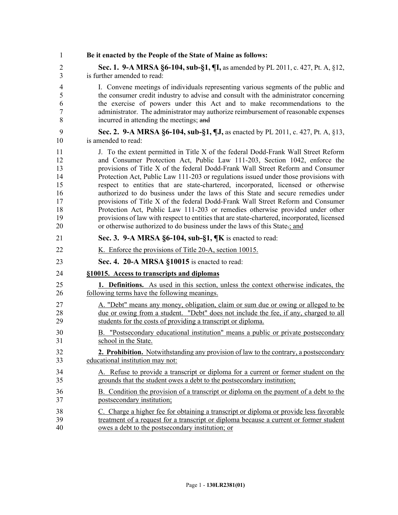| 1              | Be it enacted by the People of the State of Maine as follows:                               |
|----------------|---------------------------------------------------------------------------------------------|
| $\overline{2}$ | Sec. 1. 9-A MRSA §6-104, sub-§1, ¶I, as amended by PL 2011, c. 427, Pt. A, §12,             |
| 3              | is further amended to read:                                                                 |
| $\overline{4}$ | I. Convene meetings of individuals representing various segments of the public and          |
| 5              | the consumer credit industry to advise and consult with the administrator concerning        |
| 6              | the exercise of powers under this Act and to make recommendations to the                    |
| $\overline{7}$ | administrator. The administrator may authorize reimbursement of reasonable expenses         |
| 8              | incurred in attending the meetings; and                                                     |
| 9              | Sec. 2. 9-A MRSA §6-104, sub-§1, ¶J, as enacted by PL 2011, c. 427, Pt. A, §13,             |
| 10             | is amended to read:                                                                         |
| 11             | J. To the extent permitted in Title X of the federal Dodd-Frank Wall Street Reform          |
| 12             | and Consumer Protection Act, Public Law 111-203, Section 1042, enforce the                  |
| 13             | provisions of Title X of the federal Dodd-Frank Wall Street Reform and Consumer             |
| 14             | Protection Act, Public Law 111-203 or regulations issued under those provisions with        |
| 15             | respect to entities that are state-chartered, incorporated, licensed or otherwise           |
| 16             | authorized to do business under the laws of this State and secure remedies under            |
| 17             | provisions of Title X of the federal Dodd-Frank Wall Street Reform and Consumer             |
| 18             | Protection Act, Public Law 111-203 or remedies otherwise provided under other               |
| 19             | provisions of law with respect to entities that are state-chartered, incorporated, licensed |
| 20             | or otherwise authorized to do business under the laws of this State-; and                   |
| 21             | Sec. 3. 9-A MRSA §6-104, sub-§1, ¶K is enacted to read:                                     |
| 22             | K. Enforce the provisions of Title 20-A, section 10015.                                     |
| 23             | Sec. 4. 20-A MRSA §10015 is enacted to read:                                                |
| 24             | §10015. Access to transcripts and diplomas                                                  |
| 25             | 1. Definitions. As used in this section, unless the context otherwise indicates, the        |
| 26             | following terms have the following meanings.                                                |
| 27             | A. "Debt" means any money, obligation, claim or sum due or owing or alleged to be           |
| 28             | due or owing from a student. "Debt" does not include the fee, if any, charged to all        |
| 29             | students for the costs of providing a transcript or diploma.                                |
| 30             | B. "Postsecondary educational institution" means a public or private postsecondary          |
| 31             | school in the State.                                                                        |
| 32             | 2. Prohibition. Notwithstanding any provision of law to the contrary, a postsecondary       |
| 33             | educational institution may not:                                                            |
| 34             | A. Refuse to provide a transcript or diploma for a current or former student on the         |
| 35             | grounds that the student owes a debt to the postsecondary institution;                      |
| 36             | B. Condition the provision of a transcript or diploma on the payment of a debt to the       |
| 37             | postsecondary institution;                                                                  |
| 38             | C. Charge a higher fee for obtaining a transcript or diploma or provide less favorable      |
| 39             | treatment of a request for a transcript or diploma because a current or former student      |
| 40             | owes a debt to the postsecondary institution; or                                            |